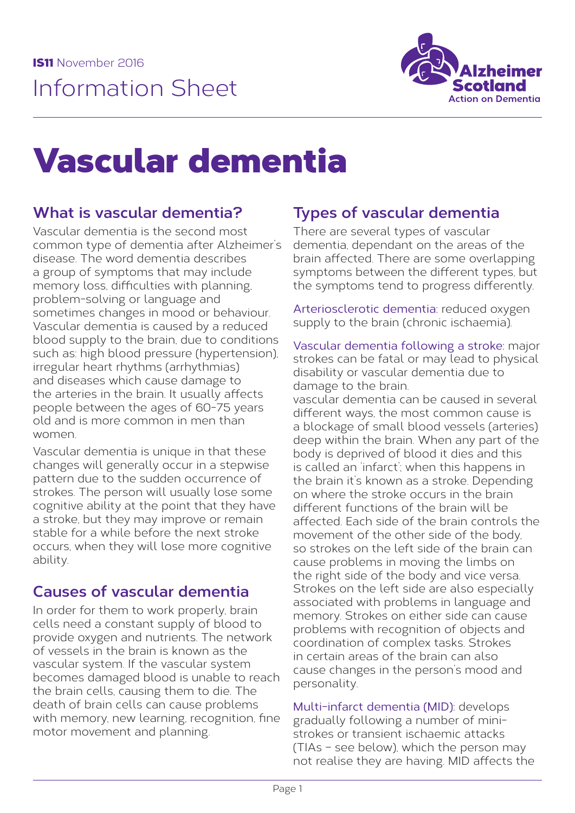

# Vascular dementia

# **What is vascular dementia?**

Vascular dementia is the second most common type of dementia after Alzheimer's disease. The word dementia describes a group of symptoms that may include memory loss, difficulties with planning, problem-solving or language and sometimes changes in mood or behaviour. Vascular dementia is caused by a reduced blood supply to the brain, due to conditions such as: high blood pressure (hypertension), irregular heart rhythms (arrhythmias) and diseases which cause damage to the arteries in the brain. It usually affects people between the ages of 60-75 years old and is more common in men than women.

Vascular dementia is unique in that these changes will generally occur in a stepwise pattern due to the sudden occurrence of strokes. The person will usually lose some cognitive ability at the point that they have a stroke, but they may improve or remain stable for a while before the next stroke occurs, when they will lose more cognitive ability.

# **Causes of vascular dementia**

In order for them to work properly, brain cells need a constant supply of blood to provide oxygen and nutrients. The network of vessels in the brain is known as the vascular system. If the vascular system becomes damaged blood is unable to reach the brain cells, causing them to die. The death of brain cells can cause problems with memory, new learning, recognition, fine motor movement and planning.

# **Types of vascular dementia**

There are several types of vascular dementia, dependant on the areas of the brain affected. There are some overlapping symptoms between the different types, but the symptoms tend to progress differently.

Arteriosclerotic dementia: reduced oxygen supply to the brain (chronic ischaemia).

Vascular dementia following a stroke: major strokes can be fatal or may lead to physical disability or vascular dementia due to damage to the brain.

vascular dementia can be caused in several different ways, the most common cause is a blockage of small blood vessels (arteries) deep within the brain. When any part of the body is deprived of blood it dies and this is called an 'infarct'; when this happens in the brain it's known as a stroke. Depending on where the stroke occurs in the brain different functions of the brain will be affected. Each side of the brain controls the movement of the other side of the body so strokes on the left side of the brain can cause problems in moving the limbs on the right side of the body and vice versa. Strokes on the left side are also especially associated with problems in language and memory. Strokes on either side can cause problems with recognition of objects and coordination of complex tasks. Strokes in certain areas of the brain can also cause changes in the person's mood and personality.

Multi-infarct dementia (MID): develops gradually following a number of ministrokes or transient ischaemic attacks (TIAs – see below), which the person may not realise they are having. MID affects the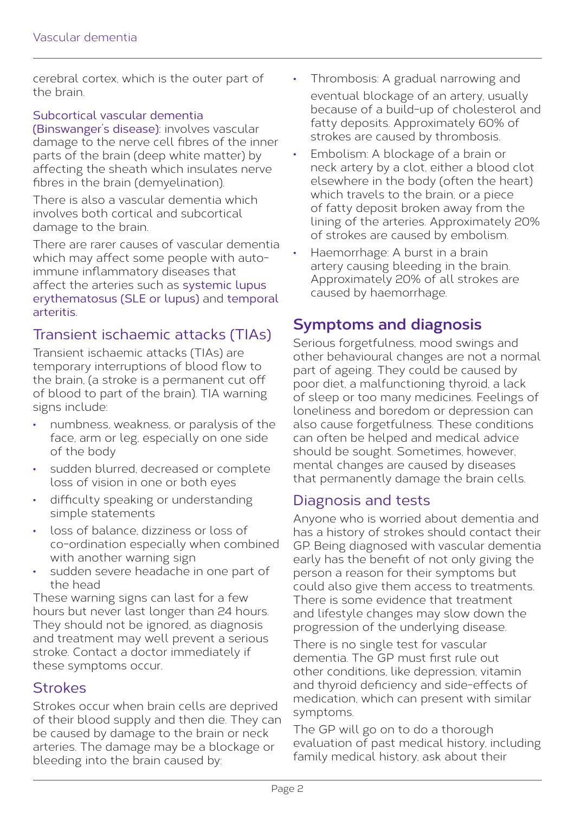cerebral cortex, which is the outer part of the brain.

#### Subcortical vascular dementia

(Binswanger's disease): involves vascular damage to the nerve cell fibres of the inner parts of the brain (deep white matter) by affecting the sheath which insulates nerve fibres in the brain (demyelination).

There is also a vascular dementia which involves both cortical and subcortical damage to the brain.

There are rarer causes of vascular dementia which may affect some people with autoimmune inflammatory diseases that affect the arteries such as systemic lupus erythematosus (SLE or lupus) and temporal arteritis.

### Transient ischaemic attacks (TIAs)

Transient ischaemic attacks (TIAs) are temporary interruptions of blood flow to the brain, (a stroke is a permanent cut off of blood to part of the brain). TIA warning signs include:

- numbness, weakness, or paralysis of the face, arm or leg, especially on one side of the body
- sudden blurred, decreased or complete loss of vision in one or both eyes
- difficulty speaking or understanding simple statements
- loss of balance, dizziness or loss of co-ordination especially when combined with another warning sign
- sudden severe headache in one part of the head

These warning signs can last for a few hours but never last longer than 24 hours. They should not be ignored, as diagnosis and treatment may well prevent a serious stroke. Contact a doctor immediately if these symptoms occur.

#### **Strokes**

Strokes occur when brain cells are deprived of their blood supply and then die. They can be caused by damage to the brain or neck arteries. The damage may be a blockage or bleeding into the brain caused by:

- Thrombosis: A gradual narrowing and eventual blockage of an artery, usually because of a build-up of cholesterol and fatty deposits. Approximately 60% of strokes are caused by thrombosis.
- Embolism: A blockage of a brain or neck artery by a clot, either a blood clot elsewhere in the body (often the heart) which travels to the brain, or a piece of fatty deposit broken away from the lining of the arteries. Approximately 20% of strokes are caused by embolism.
- Haemorrhage: A burst in a brain artery causing bleeding in the brain. Approximately 20% of all strokes are caused by haemorrhage.

# **Symptoms and diagnosis**

Serious forgetfulness, mood swings and other behavioural changes are not a normal part of ageing. They could be caused by poor diet, a malfunctioning thyroid, a lack of sleep or too many medicines. Feelings of loneliness and boredom or depression can also cause forgetfulness. These conditions can often be helped and medical advice should be sought. Sometimes, however, mental changes are caused by diseases that permanently damage the brain cells.

#### Diagnosis and tests

Anyone who is worried about dementia and has a history of strokes should contact their GP. Being diagnosed with vascular dementia early has the benefit of not only giving the person a reason for their symptoms but could also give them access to treatments. There is some evidence that treatment and lifestyle changes may slow down the progression of the underlying disease.

There is no single test for vascular dementia. The GP must first rule out other conditions, like depression, vitamin and thyroid deficiency and side-effects of medication, which can present with similar symptoms.

The GP will go on to do a thorough evaluation of past medical history, including family medical history, ask about their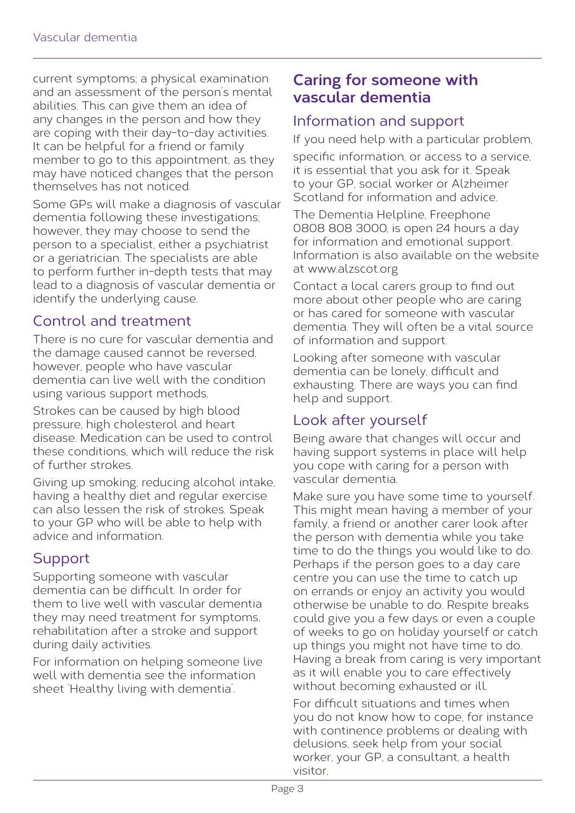current symptoms; a physical examination and an assessment of the person's mental abilities. This can give them an idea of any changes in the person and how they are coping with their day-to-day activities. It can be helpful for a friend or family member to go to this appointment, as they may have noticed changes that the person themselves has not noticed.

Some GPs will make a diagnosis of vascular dementia following these investigations; however, they may choose to send the person to a specialist, either a psychiatrist or a geriatrician. The specialists are able to perform further in-depth tests that may lead to a diagnosis of vascular dementia or identify the underlying cause.

### Control and treatment

There is no cure for vascular dementia and the damage caused cannot be reversed, however, people who have vascular dementia can live well with the condition using various support methods.

Strokes can be caused by high blood pressure, high cholesterol and heart disease. Medication can be used to control these conditions, which will reduce the risk of further strokes.

Giving up smoking, reducing alcohol intake, having a healthy diet and regular exercise can also lessen the risk of strokes. Speak to your GP who will be able to help with advice and information.

# **Support**

Supporting someone with vascular dementia can be difficult. In order for them to live well with vascular dementia they may need treatment for symptoms, rehabilitation after a stroke and support during daily activities.

For information on helping someone live well with dementia see the information sheet 'Healthy living with dementia'.

## **Caring for someone with vascular dementia**

#### Information and support

If you need help with a particular problem,

specific information, or access to a service, it is essential that you ask for it. Speak to your GP, social worker or Alzheimer Scotland for information and advice.

The Dementia Helpline, Freephone 0808 808 3000, is open 24 hours a day for information and emotional support. Information is also available on the website at www.alzscot.org

Contact a local carers group to find out more about other people who are caring or has cared for someone with vascular dementia. They will often be a vital source of information and support.

Looking after someone with vascular dementia can be lonely, difficult and exhausting. There are ways you can find help and support.

## Look after yourself

Being aware that changes will occur and having support systems in place will help you cope with caring for a person with vascular dementia.

Make sure you have some time to yourself. This might mean having a member of your family, a friend or another carer look after the person with dementia while you take time to do the things you would like to do. Perhaps if the person goes to a day care centre you can use the time to catch up on errands or enjoy an activity you would otherwise be unable to do. Respite breaks could give you a few days or even a couple of weeks to go on holiday yourself or catch up things you might not have time to do. Having a break from caring is very important as it will enable you to care effectively without becoming exhausted or ill.

For difficult situations and times when you do not know how to cope, for instance with continence problems or dealing with delusions, seek help from your social worker, your GP, a consultant, a health visitor,